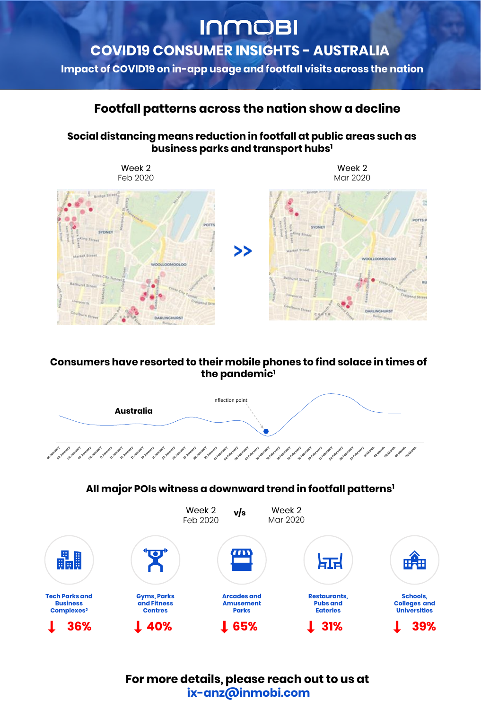**Impact of COVID19 on in-app usage and footfall visits across the nation**

#### **All major POIs witness a downward trend in footfall patterns<sup>1</sup>**

### **Social distancing means reduction in footfall at public areas such as business parks and transport hubs<sup>1</sup>**





#### **Consumers have resorted to their mobile phones to find solace in times of the pandemic<sup>1</sup>**



or various of various of various in various in various in various provided various provided account of various description account of the comproment of the original services and the comproment of the original original orig

## **Footfall patterns across the nation show a decline**

For more details, please reach out to us at **ix-anz@inmobi.com**

# **INMOBI**

## COVID19 CONSUMER INSIGHTS - AUSTRALIA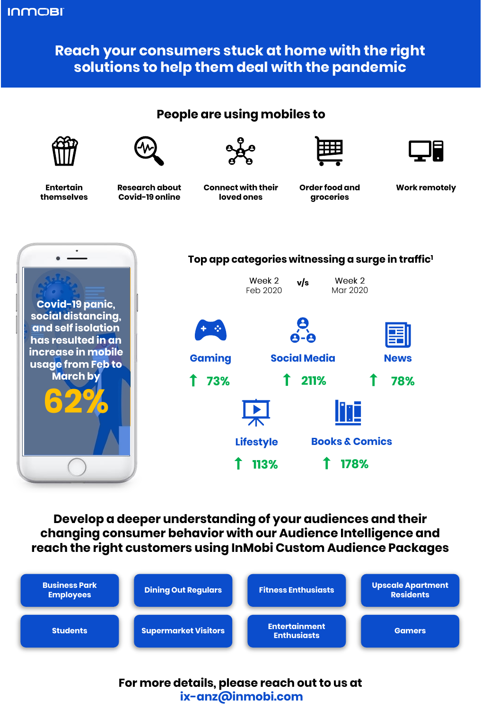**People are using mobiles to**





Entertain **Research about** Connect with their Order food and Work remotely







**Research about Covid-19 online**

**Connect with their loved ones**

**themselves**

**Order food and groceries**

## Develop a deeper understanding of your audiences and their changing consumer behavior with our Audience Intelligence and reach the right customers using InMobi Custom Audience Packages



## **Top app categories witnessing a surge in traffic<sup>1</sup>**

#### **178% 113%**







### **INMOBI**

## **Reach your consumers stuck at home with the right solutions to help them deal with the pandemic**

For more details, please reach out to us at **ix-anz@inmobi.com**